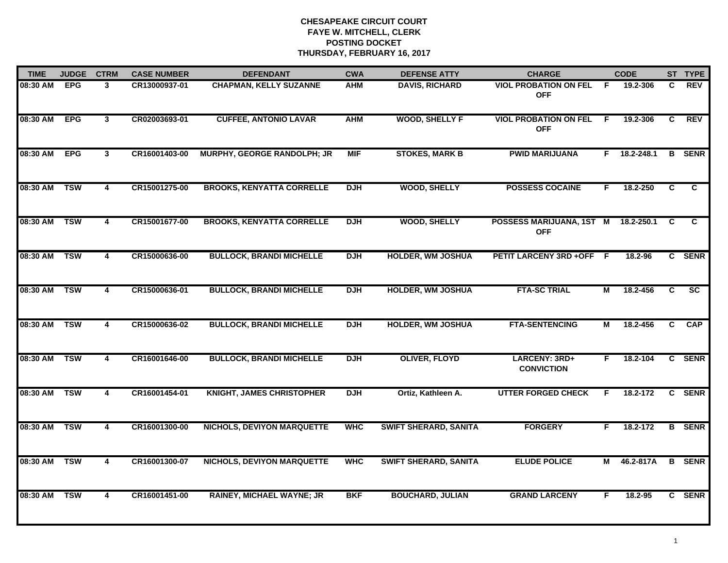| <b>TIME</b> | <b>JUDGE</b> | <b>CTRM</b>             | <b>CASE NUMBER</b> | <b>DEFENDANT</b>                   | <b>CWA</b> | <b>DEFENSE ATTY</b>          | <b>CHARGE</b>                              |     | <b>CODE</b> |              | ST TYPE       |
|-------------|--------------|-------------------------|--------------------|------------------------------------|------------|------------------------------|--------------------------------------------|-----|-------------|--------------|---------------|
| 08:30 AM    | <b>EPG</b>   | 3                       | CR13000937-01      | <b>CHAPMAN, KELLY SUZANNE</b>      | <b>AHM</b> | <b>DAVIS, RICHARD</b>        | <b>VIOL PROBATION ON FEL</b><br><b>OFF</b> | - F | 19.2-306    | C            | <b>REV</b>    |
| 08:30 AM    | <b>EPG</b>   | $\overline{\mathbf{3}}$ | CR02003693-01      | <b>CUFFEE, ANTONIO LAVAR</b>       | <b>AHM</b> | <b>WOOD, SHELLY F</b>        | <b>VIOL PROBATION ON FEL</b><br><b>OFF</b> | F.  | 19.2-306    | C.           | <b>REV</b>    |
| 08:30 AM    | <b>EPG</b>   | $\overline{\mathbf{3}}$ | CR16001403-00      | <b>MURPHY, GEORGE RANDOLPH; JR</b> | <b>MIF</b> | <b>STOKES, MARK B</b>        | <b>PWID MARIJUANA</b>                      | F.  | 18.2-248.1  |              | <b>B</b> SENR |
| 08:30 AM    | <b>TSW</b>   | 4                       | CR15001275-00      | <b>BROOKS, KENYATTA CORRELLE</b>   | <b>DJH</b> | <b>WOOD, SHELLY</b>          | <b>POSSESS COCAINE</b>                     | F   | 18.2-250    | C            | C             |
| 08:30 AM    | <b>TSW</b>   | 4                       | CR15001677-00      | <b>BROOKS, KENYATTA CORRELLE</b>   | <b>DJH</b> | <b>WOOD, SHELLY</b>          | POSSESS MARIJUANA, 1ST M<br><b>OFF</b>     |     | 18.2-250.1  | C            | C             |
| 08:30 AM    | <b>TSW</b>   | $\overline{4}$          | CR15000636-00      | <b>BULLOCK, BRANDI MICHELLE</b>    | <b>DJH</b> | <b>HOLDER, WM JOSHUA</b>     | PETIT LARCENY 3RD +OFF F                   |     | 18.2-96     |              | C SENR        |
| 08:30 AM    | <b>TSW</b>   | $\overline{\mathbf{4}}$ | CR15000636-01      | <b>BULLOCK, BRANDI MICHELLE</b>    | <b>DJH</b> | <b>HOLDER, WM JOSHUA</b>     | <b>FTA-SC TRIAL</b>                        | М   | 18.2-456    | C            | SC            |
| 08:30 AM    | <b>TSW</b>   | $\overline{\mathbf{4}}$ | CR15000636-02      | <b>BULLOCK, BRANDI MICHELLE</b>    | <b>DJH</b> | <b>HOLDER, WM JOSHUA</b>     | <b>FTA-SENTENCING</b>                      | М   | 18.2-456    | C            | <b>CAP</b>    |
| 08:30 AM    | <b>TSW</b>   | 4                       | CR16001646-00      | <b>BULLOCK, BRANDI MICHELLE</b>    | <b>DJH</b> | <b>OLIVER, FLOYD</b>         | LARCENY: 3RD+<br><b>CONVICTION</b>         | F   | 18.2-104    |              | C SENR        |
| 08:30 AM    | <b>TSW</b>   | 4                       | CR16001454-01      | <b>KNIGHT, JAMES CHRISTOPHER</b>   | <b>DJH</b> | Ortiz, Kathleen A.           | <b>UTTER FORGED CHECK</b>                  | F   | 18.2-172    | $\mathbf{c}$ | <b>SENR</b>   |
| 08:30 AM    | <b>TSW</b>   | 4                       | CR16001300-00      | <b>NICHOLS, DEVIYON MARQUETTE</b>  | <b>WHC</b> | <b>SWIFT SHERARD, SANITA</b> | <b>FORGERY</b>                             | F.  | 18.2-172    | B            | <b>SENR</b>   |
| 08:30 AM    | <b>TSW</b>   | $\overline{\mathbf{4}}$ | CR16001300-07      | <b>NICHOLS, DEVIYON MARQUETTE</b>  | <b>WHC</b> | <b>SWIFT SHERARD, SANITA</b> | <b>ELUDE POLICE</b>                        | М   | 46.2-817A   |              | <b>B</b> SENR |
| 08:30 AM    | <b>TSW</b>   | 4                       | CR16001451-00      | <b>RAINEY, MICHAEL WAYNE; JR</b>   | <b>BKF</b> | <b>BOUCHARD, JULIAN</b>      | <b>GRAND LARCENY</b>                       | F   | 18.2-95     |              | C SENR        |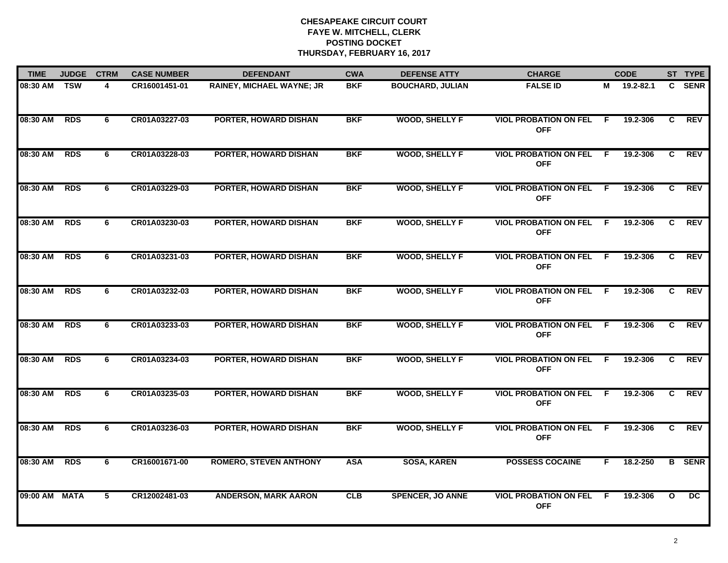| <b>TIME</b> | <b>JUDGE</b> | <b>CTRM</b> | <b>CASE NUMBER</b> | <b>DEFENDANT</b>                 | <b>CWA</b> | <b>DEFENSE ATTY</b>     | <b>CHARGE</b>                                |     | <b>CODE</b> |                | ST TYPE       |
|-------------|--------------|-------------|--------------------|----------------------------------|------------|-------------------------|----------------------------------------------|-----|-------------|----------------|---------------|
| 08:30 AM    | <b>TSW</b>   | 4           | CR16001451-01      | <b>RAINEY, MICHAEL WAYNE; JR</b> | <b>BKF</b> | <b>BOUCHARD, JULIAN</b> | <b>FALSE ID</b>                              | м   | 19.2-82.1   | $\mathbf{c}$   | <b>SENR</b>   |
| 08:30 AM    | <b>RDS</b>   | 6           | CR01A03227-03      | <b>PORTER, HOWARD DISHAN</b>     | <b>BKF</b> | <b>WOOD, SHELLY F</b>   | <b>VIOL PROBATION ON FEL F</b><br><b>OFF</b> |     | 19.2-306    | C.             | <b>REV</b>    |
| 08:30 AM    | <b>RDS</b>   | 6           | CR01A03228-03      | PORTER, HOWARD DISHAN            | <b>BKF</b> | <b>WOOD, SHELLY F</b>   | <b>VIOL PROBATION ON FEL</b><br><b>OFF</b>   | -F  | 19.2-306    | $\overline{c}$ | <b>REV</b>    |
| 08:30 AM    | <b>RDS</b>   | 6           | CR01A03229-03      | <b>PORTER, HOWARD DISHAN</b>     | <b>BKF</b> | <b>WOOD, SHELLY F</b>   | <b>VIOL PROBATION ON FEL</b><br><b>OFF</b>   | F.  | 19.2-306    | C.             | <b>REV</b>    |
| 08:30 AM    | <b>RDS</b>   | 6           | CR01A03230-03      | <b>PORTER, HOWARD DISHAN</b>     | <b>BKF</b> | <b>WOOD, SHELLY F</b>   | <b>VIOL PROBATION ON FEL</b><br><b>OFF</b>   | - F | 19.2-306    | C              | <b>REV</b>    |
| 08:30 AM    | <b>RDS</b>   | 6           | CR01A03231-03      | <b>PORTER, HOWARD DISHAN</b>     | <b>BKF</b> | <b>WOOD, SHELLY F</b>   | <b>VIOL PROBATION ON FEL</b><br><b>OFF</b>   | -F  | 19.2-306    | C.             | <b>REV</b>    |
| 08:30 AM    | <b>RDS</b>   | 6           | CR01A03232-03      | <b>PORTER, HOWARD DISHAN</b>     | <b>BKF</b> | <b>WOOD, SHELLY F</b>   | <b>VIOL PROBATION ON FEL</b><br><b>OFF</b>   | - F | 19.2-306    | C              | <b>REV</b>    |
| 08:30 AM    | <b>RDS</b>   | 6           | CR01A03233-03      | <b>PORTER, HOWARD DISHAN</b>     | <b>BKF</b> | <b>WOOD, SHELLY F</b>   | <b>VIOL PROBATION ON FEL</b><br><b>OFF</b>   | E   | 19.2-306    | C              | <b>REV</b>    |
| 08:30 AM    | <b>RDS</b>   | 6           | CR01A03234-03      | <b>PORTER, HOWARD DISHAN</b>     | <b>BKF</b> | <b>WOOD, SHELLY F</b>   | <b>VIOL PROBATION ON FEL</b><br><b>OFF</b>   | E   | 19.2-306    | C              | <b>REV</b>    |
| 08:30 AM    | <b>RDS</b>   | 6           | CR01A03235-03      | <b>PORTER, HOWARD DISHAN</b>     | <b>BKF</b> | <b>WOOD, SHELLY F</b>   | <b>VIOL PROBATION ON FEL</b><br><b>OFF</b>   | F   | 19.2-306    | C              | <b>REV</b>    |
| 08:30 AM    | <b>RDS</b>   | 6           | CR01A03236-03      | PORTER, HOWARD DISHAN            | <b>BKF</b> | <b>WOOD, SHELLY F</b>   | <b>VIOL PROBATION ON FEL</b><br><b>OFF</b>   | - F | 19.2-306    | C.             | <b>REV</b>    |
| 08:30 AM    | <b>RDS</b>   | 6           | CR16001671-00      | <b>ROMERO, STEVEN ANTHONY</b>    | <b>ASA</b> | <b>SOSA, KAREN</b>      | <b>POSSESS COCAINE</b>                       | F.  | 18.2-250    |                | <b>B</b> SENR |
| 09:00 AM    | <b>MATA</b>  | 5           | CR12002481-03      | <b>ANDERSON, MARK AARON</b>      | CLB        | <b>SPENCER, JO ANNE</b> | <b>VIOL PROBATION ON FEL</b><br><b>OFF</b>   | -F  | 19.2-306    | $\mathbf{o}$   | DC            |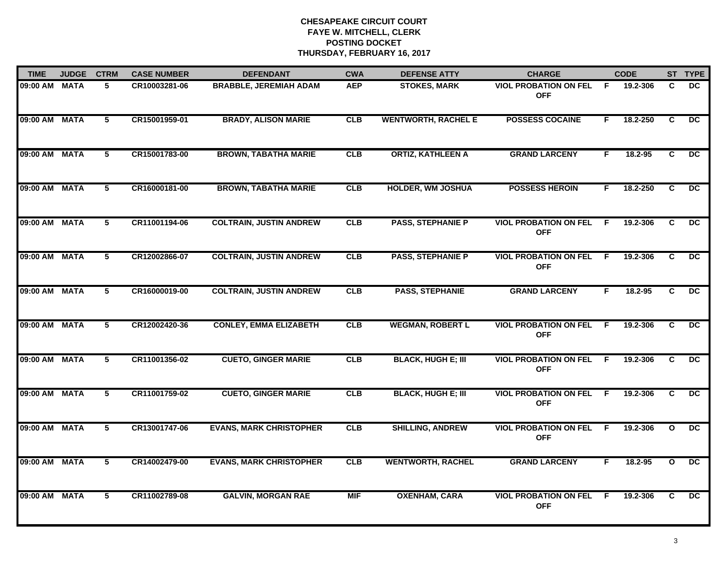| <b>TIME</b>   | <b>JUDGE</b> | <b>CTRM</b> | <b>CASE NUMBER</b> | <b>DEFENDANT</b>               | <b>CWA</b> | <b>DEFENSE ATTY</b>        | <b>CHARGE</b>                                |     | <b>CODE</b> |                | ST TYPE         |
|---------------|--------------|-------------|--------------------|--------------------------------|------------|----------------------------|----------------------------------------------|-----|-------------|----------------|-----------------|
| 09:00 AM MATA |              | 5           | CR10003281-06      | <b>BRABBLE, JEREMIAH ADAM</b>  | <b>AEP</b> | <b>STOKES, MARK</b>        | <b>VIOL PROBATION ON FEL</b><br><b>OFF</b>   | F   | 19.2-306    | C              | <b>DC</b>       |
| 09:00 AM MATA |              | 5           | CR15001959-01      | <b>BRADY, ALISON MARIE</b>     | CLB        | <b>WENTWORTH, RACHEL E</b> | <b>POSSESS COCAINE</b>                       | F.  | 18.2-250    | $\overline{c}$ | $\overline{DC}$ |
| 09:00 AM MATA |              | 5           | CR15001783-00      | <b>BROWN, TABATHA MARIE</b>    | <b>CLB</b> | <b>ORTIZ, KATHLEEN A</b>   | <b>GRAND LARCENY</b>                         | F.  | 18.2-95     | C.             | DC.             |
| 09:00 AM MATA |              | 5           | CR16000181-00      | <b>BROWN, TABATHA MARIE</b>    | CLB        | <b>HOLDER, WM JOSHUA</b>   | <b>POSSESS HEROIN</b>                        | F.  | 18.2-250    | C              | DC.             |
| 09:00 AM MATA |              | 5           | CR11001194-06      | <b>COLTRAIN, JUSTIN ANDREW</b> | CLB        | <b>PASS, STEPHANIE P</b>   | <b>VIOL PROBATION ON FEL</b><br><b>OFF</b>   | F.  | 19.2-306    | C              | DC.             |
| 09:00 AM MATA |              | 5           | CR12002866-07      | <b>COLTRAIN, JUSTIN ANDREW</b> | CLB        | <b>PASS, STEPHANIE P</b>   | <b>VIOL PROBATION ON FEL</b><br><b>OFF</b>   | F.  | 19.2-306    | C              | DC.             |
| 09:00 AM MATA |              | 5           | CR16000019-00      | <b>COLTRAIN, JUSTIN ANDREW</b> | <b>CLB</b> | <b>PASS, STEPHANIE</b>     | <b>GRAND LARCENY</b>                         | F.  | 18.2-95     | C.             | DC.             |
| 09:00 AM MATA |              | 5           | CR12002420-36      | <b>CONLEY, EMMA ELIZABETH</b>  | <b>CLB</b> | <b>WEGMAN, ROBERT L</b>    | <b>VIOL PROBATION ON FEL</b><br><b>OFF</b>   | F.  | 19.2-306    | C.             | DC.             |
| 09:00 AM MATA |              | 5           | CR11001356-02      | <b>CUETO, GINGER MARIE</b>     | CLB        | <b>BLACK, HUGH E; III</b>  | <b>VIOL PROBATION ON FEL</b><br><b>OFF</b>   | F.  | 19.2-306    | C              | DC.             |
| 09:00 AM MATA |              | $5^{\circ}$ | CR11001759-02      | <b>CUETO, GINGER MARIE</b>     | CLB        | <b>BLACK, HUGH E; III</b>  | <b>VIOL PROBATION ON FEL</b><br><b>OFF</b>   | - F | 19.2-306    | C              | DC              |
| 09:00 AM MATA |              | 5           | CR13001747-06      | <b>EVANS, MARK CHRISTOPHER</b> | CLB        | <b>SHILLING, ANDREW</b>    | <b>VIOL PROBATION ON FEL F</b><br><b>OFF</b> |     | 19.2-306    | $\mathbf{o}$   | $\overline{DC}$ |
| 09:00 AM MATA |              | 5           | CR14002479-00      | <b>EVANS, MARK CHRISTOPHER</b> | CLB        | <b>WENTWORTH, RACHEL</b>   | <b>GRAND LARCENY</b>                         | F.  | 18.2-95     | $\mathbf{o}$   | $\overline{DC}$ |
| 09:00 AM MATA |              | 5           | CR11002789-08      | <b>GALVIN, MORGAN RAE</b>      | <b>MIF</b> | <b>OXENHAM, CARA</b>       | <b>VIOL PROBATION ON FEL</b><br><b>OFF</b>   | F.  | 19.2-306    | C              | DC.             |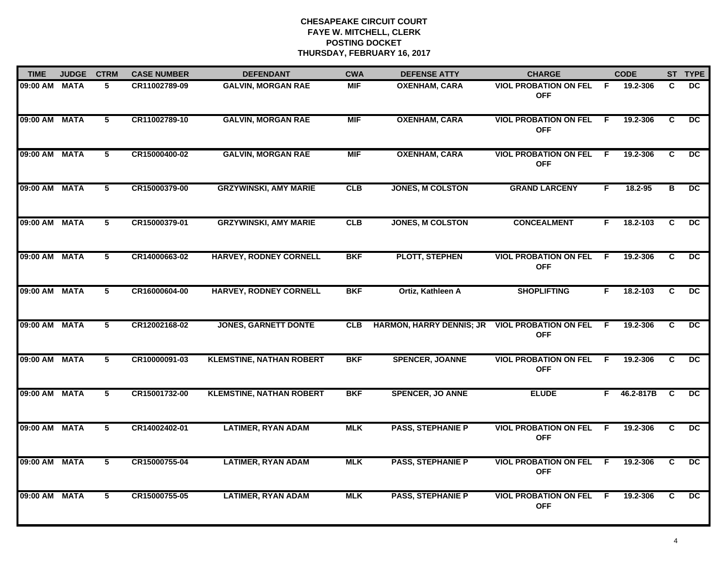| <b>TIME</b>   | <b>JUDGE</b> | <b>CTRM</b>    | <b>CASE NUMBER</b> | <b>DEFENDANT</b>                | <b>CWA</b> | <b>DEFENSE ATTY</b>             | <b>CHARGE</b>                              |                | <b>CODE</b> |                | ST TYPE         |
|---------------|--------------|----------------|--------------------|---------------------------------|------------|---------------------------------|--------------------------------------------|----------------|-------------|----------------|-----------------|
| 09:00 AM      | <b>MATA</b>  | 5              | CR11002789-09      | <b>GALVIN, MORGAN RAE</b>       | <b>MIF</b> | <b>OXENHAM, CARA</b>            | <b>VIOL PROBATION ON FEL</b><br><b>OFF</b> | -F             | 19.2-306    | C.             | DC              |
| 09:00 AM MATA |              | $5^{\circ}$    | CR11002789-10      | <b>GALVIN, MORGAN RAE</b>       | <b>MIF</b> | <b>OXENHAM, CARA</b>            | <b>VIOL PROBATION ON FEL</b><br><b>OFF</b> | - F            | 19.2-306    | C              | DC.             |
| 09:00 AM      | <b>MATA</b>  | $\overline{5}$ | CR15000400-02      | <b>GALVIN, MORGAN RAE</b>       | <b>MIF</b> | <b>OXENHAM, CARA</b>            | <b>VIOL PROBATION ON FEL</b><br><b>OFF</b> | $\overline{F}$ | 19.2-306    | $\overline{c}$ | $\overline{DC}$ |
| 09:00 AM      | <b>MATA</b>  | 5              | CR15000379-00      | <b>GRZYWINSKI, AMY MARIE</b>    | CLB        | <b>JONES, M COLSTON</b>         | <b>GRAND LARCENY</b>                       | F.             | $18.2 - 95$ | в              | <b>DC</b>       |
| 09:00 AM MATA |              | 5              | CR15000379-01      | <b>GRZYWINSKI, AMY MARIE</b>    | CLB        | <b>JONES, M COLSTON</b>         | <b>CONCEALMENT</b>                         | F.             | 18.2-103    | C              | DC.             |
| 09:00 AM MATA |              | 5              | CR14000663-02      | <b>HARVEY, RODNEY CORNELL</b>   | <b>BKF</b> | <b>PLOTT, STEPHEN</b>           | <b>VIOL PROBATION ON FEL</b><br><b>OFF</b> | -F             | 19.2-306    | C.             | $\overline{DC}$ |
| 09:00 AM      | <b>MATA</b>  | $\overline{5}$ | CR16000604-00      | <b>HARVEY, RODNEY CORNELL</b>   | <b>BKF</b> | Ortiz, Kathleen A               | <b>SHOPLIFTING</b>                         | F              | 18.2-103    | C              | $\overline{DC}$ |
| 09:00 AM      | <b>MATA</b>  | $\overline{5}$ | CR12002168-02      | <b>JONES, GARNETT DONTE</b>     | <b>CLB</b> | <b>HARMON, HARRY DENNIS; JR</b> | <b>VIOL PROBATION ON FEL</b><br><b>OFF</b> | -F             | 19.2-306    | C              | $\overline{DC}$ |
| 09:00 AM      | <b>MATA</b>  | 5              | CR10000091-03      | <b>KLEMSTINE, NATHAN ROBERT</b> | <b>BKF</b> | <b>SPENCER, JOANNE</b>          | <b>VIOL PROBATION ON FEL</b><br><b>OFF</b> | F.             | 19.2-306    | C              | DC              |
| 09:00 AM      | <b>MATA</b>  | 5              | CR15001732-00      | <b>KLEMSTINE, NATHAN ROBERT</b> | <b>BKF</b> | <b>SPENCER, JO ANNE</b>         | <b>ELUDE</b>                               | F.             | 46.2-817B   | C              | <b>DC</b>       |
| 09:00 AM MATA |              | 5              | CR14002402-01      | <b>LATIMER, RYAN ADAM</b>       | <b>MLK</b> | <b>PASS, STEPHANIE P</b>        | <b>VIOL PROBATION ON FEL</b><br><b>OFF</b> | -F             | 19.2-306    | C.             | DC              |
| 09:00 AM      | <b>MATA</b>  | 5              | CR15000755-04      | <b>LATIMER, RYAN ADAM</b>       | <b>MLK</b> | <b>PASS, STEPHANIE P</b>        | <b>VIOL PROBATION ON FEL</b><br><b>OFF</b> | -F             | 19.2-306    | C.             | $\overline{DC}$ |
| 09:00 AM      | <b>MATA</b>  | $\overline{5}$ | CR15000755-05      | <b>LATIMER, RYAN ADAM</b>       | <b>MLK</b> | <b>PASS, STEPHANIE P</b>        | <b>VIOL PROBATION ON FEL</b><br><b>OFF</b> | -F             | 19.2-306    | C.             | $\overline{DC}$ |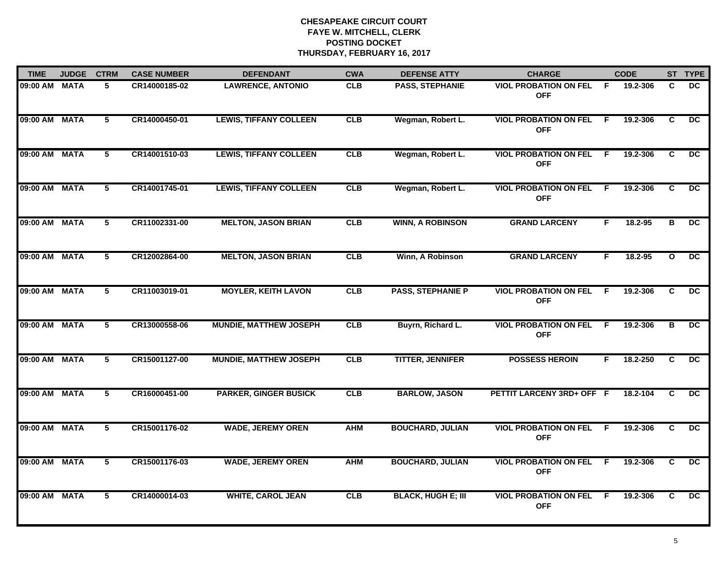| <b>TIME</b>   | <b>JUDGE</b> | <b>CTRM</b>    | <b>CASE NUMBER</b> | <b>DEFENDANT</b>              | <b>CWA</b> | <b>DEFENSE ATTY</b>       | <b>CHARGE</b>                              |     | <b>CODE</b> |              | ST TYPE         |
|---------------|--------------|----------------|--------------------|-------------------------------|------------|---------------------------|--------------------------------------------|-----|-------------|--------------|-----------------|
| 09:00 AM MATA |              | 5              | CR14000185-02      | <b>LAWRENCE, ANTONIO</b>      | <b>CLB</b> | PASS, STEPHANIE           | <b>VIOL PROBATION ON FEL</b><br><b>OFF</b> | - F | 19.2-306    | C.           | DC.             |
| 09:00 AM MATA |              | 5              | CR14000450-01      | <b>LEWIS, TIFFANY COLLEEN</b> | CLB        | Wegman, Robert L.         | <b>VIOL PROBATION ON FEL</b><br><b>OFF</b> | -F  | 19.2-306    | C.           | <b>DC</b>       |
| 09:00 AM MATA |              | 5              | CR14001510-03      | <b>LEWIS, TIFFANY COLLEEN</b> | CLB        | Wegman, Robert L.         | <b>VIOL PROBATION ON FEL</b><br><b>OFF</b> | -F. | 19.2-306    | C            | DC.             |
| 09:00 AM      | MATA         | 5              | CR14001745-01      | <b>LEWIS, TIFFANY COLLEEN</b> | CLB        | Wegman, Robert L.         | <b>VIOL PROBATION ON FEL</b><br><b>OFF</b> | -F  | 19.2-306    | C            | DC.             |
| 09:00 AM MATA |              | 5              | CR11002331-00      | <b>MELTON, JASON BRIAN</b>    | CLB        | <b>WINN, A ROBINSON</b>   | <b>GRAND LARCENY</b>                       | F.  | 18.2-95     | в            | DC.             |
| 09:00 AM MATA |              | 5              | CR12002864-00      | <b>MELTON, JASON BRIAN</b>    | CLB        | Winn, A Robinson          | <b>GRAND LARCENY</b>                       | F.  | 18.2-95     | $\mathbf{o}$ | $\overline{DC}$ |
| 09:00 AM MATA |              | $\overline{5}$ | CR11003019-01      | <b>MOYLER, KEITH LAVON</b>    | CLB        | <b>PASS, STEPHANIE P</b>  | <b>VIOL PROBATION ON FEL</b><br><b>OFF</b> | F.  | 19.2-306    | C            | $\overline{DC}$ |
| 09:00 AM MATA |              | 5              | CR13000558-06      | <b>MUNDIE, MATTHEW JOSEPH</b> | CLB        | Buyrn, Richard L.         | <b>VIOL PROBATION ON FEL</b><br><b>OFF</b> | -F  | 19.2-306    | В            | $\overline{DC}$ |
| 09:00 AM MATA |              | 5              | CR15001127-00      | <b>MUNDIE, MATTHEW JOSEPH</b> | CLB        | <b>TITTER, JENNIFER</b>   | <b>POSSESS HEROIN</b>                      | F   | 18.2-250    | C            | <b>DC</b>       |
| 09:00 AM MATA |              | 5              | CR16000451-00      | <b>PARKER, GINGER BUSICK</b>  | CLB        | <b>BARLOW, JASON</b>      | PETTIT LARCENY 3RD+ OFF F                  |     | 18.2-104    | C            | <b>DC</b>       |
| 09:00 AM MATA |              | 5              | CR15001176-02      | <b>WADE, JEREMY OREN</b>      | <b>AHM</b> | <b>BOUCHARD, JULIAN</b>   | <b>VIOL PROBATION ON FEL</b><br><b>OFF</b> | E   | 19.2-306    | C            | $\overline{DC}$ |
| 09:00 AM MATA |              | 5              | CR15001176-03      | <b>WADE, JEREMY OREN</b>      | <b>AHM</b> | <b>BOUCHARD, JULIAN</b>   | <b>VIOL PROBATION ON FEL</b><br><b>OFF</b> | F.  | 19.2-306    | C            | $\overline{DC}$ |
| 09:00 AM MATA |              | 5              | CR14000014-03      | <b>WHITE, CAROL JEAN</b>      | CLB        | <b>BLACK, HUGH E; III</b> | <b>VIOL PROBATION ON FEL</b><br><b>OFF</b> | -F  | 19.2-306    | C.           | $\overline{DC}$ |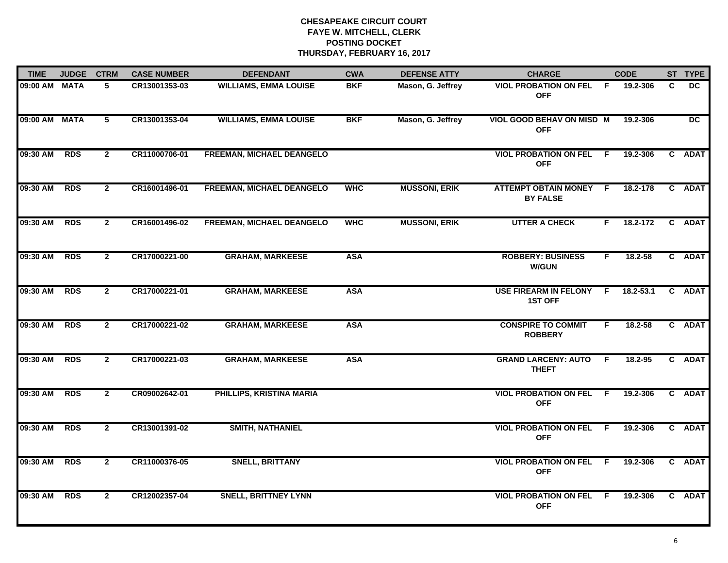| <b>TIME</b>   | <b>JUDGE</b> | <b>CTRM</b>    | <b>CASE NUMBER</b> | <b>DEFENDANT</b>             | <b>CWA</b> | <b>DEFENSE ATTY</b>  | <b>CHARGE</b>                                |     | <b>CODE</b>   |   | ST TYPE   |
|---------------|--------------|----------------|--------------------|------------------------------|------------|----------------------|----------------------------------------------|-----|---------------|---|-----------|
| 09:00 AM MATA |              | 5              | CR13001353-03      | <b>WILLIAMS, EMMA LOUISE</b> | <b>BKF</b> | Mason, G. Jeffrey    | <b>VIOL PROBATION ON FEL</b><br><b>OFF</b>   | - F | 19.2-306      | C | <b>DC</b> |
| 09:00 AM MATA |              | 5              | CR13001353-04      | <b>WILLIAMS, EMMA LOUISE</b> | <b>BKF</b> | Mason, G. Jeffrey    | VIOL GOOD BEHAV ON MISD M<br><b>OFF</b>      |     | 19.2-306      |   | DC        |
| 09:30 AM      | <b>RDS</b>   | $\overline{2}$ | CR11000706-01      | FREEMAN, MICHAEL DEANGELO    |            |                      | <b>VIOL PROBATION ON FEL F</b><br><b>OFF</b> |     | 19.2-306      |   | C ADAT    |
| 09:30 AM      | <b>RDS</b>   | $\mathbf{2}$   | CR16001496-01      | FREEMAN, MICHAEL DEANGELO    | <b>WHC</b> | <b>MUSSONI, ERIK</b> | ATTEMPT OBTAIN MONEY F<br><b>BY FALSE</b>    |     | 18.2-178      |   | C ADAT    |
| 09:30 AM      | <b>RDS</b>   | $\mathbf{2}$   | CR16001496-02      | FREEMAN, MICHAEL DEANGELO    | <b>WHC</b> | <b>MUSSONI, ERIK</b> | <b>UTTER A CHECK</b>                         | F.  | 18.2-172      |   | C ADAT    |
| 09:30 AM      | <b>RDS</b>   | $\mathbf{2}$   | CR17000221-00      | <b>GRAHAM, MARKEESE</b>      | <b>ASA</b> |                      | <b>ROBBERY: BUSINESS</b><br><b>W/GUN</b>     | F.  | 18.2-58       |   | C ADAT    |
| 09:30 AM      | <b>RDS</b>   | $\overline{2}$ | CR17000221-01      | <b>GRAHAM, MARKEESE</b>      | <b>ASA</b> |                      | USE FIREARM IN FELONY F<br><b>1ST OFF</b>    |     | $18.2 - 53.1$ |   | C ADAT    |
| 09:30 AM      | <b>RDS</b>   | $\mathbf{2}$   | CR17000221-02      | <b>GRAHAM, MARKEESE</b>      | <b>ASA</b> |                      | <b>CONSPIRE TO COMMIT</b><br><b>ROBBERY</b>  | F.  | 18.2-58       |   | C ADAT    |
| 09:30 AM      | <b>RDS</b>   | $\mathbf{2}$   | CR17000221-03      | <b>GRAHAM, MARKEESE</b>      | <b>ASA</b> |                      | <b>GRAND LARCENY: AUTO</b><br><b>THEFT</b>   | - F | 18.2-95       |   | C ADAT    |
| 09:30 AM      | <b>RDS</b>   | $\mathbf{2}$   | CR09002642-01      | PHILLIPS, KRISTINA MARIA     |            |                      | <b>VIOL PROBATION ON FEL F</b><br><b>OFF</b> |     | 19.2-306      |   | C ADAT    |
| 09:30 AM      | <b>RDS</b>   | $\mathbf{2}$   | CR13001391-02      | <b>SMITH, NATHANIEL</b>      |            |                      | <b>VIOL PROBATION ON FEL F</b><br><b>OFF</b> |     | 19.2-306      |   | C ADAT    |
| 09:30 AM      | <b>RDS</b>   | $\overline{2}$ | CR11000376-05      | <b>SNELL, BRITTANY</b>       |            |                      | <b>VIOL PROBATION ON FEL</b><br><b>OFF</b>   | -F  | 19.2-306      |   | C ADAT    |
| 09:30 AM      | <b>RDS</b>   | $\mathbf{2}$   | CR12002357-04      | <b>SNELL, BRITTNEY LYNN</b>  |            |                      | <b>VIOL PROBATION ON FEL</b><br><b>OFF</b>   | -F  | 19.2-306      |   | C ADAT    |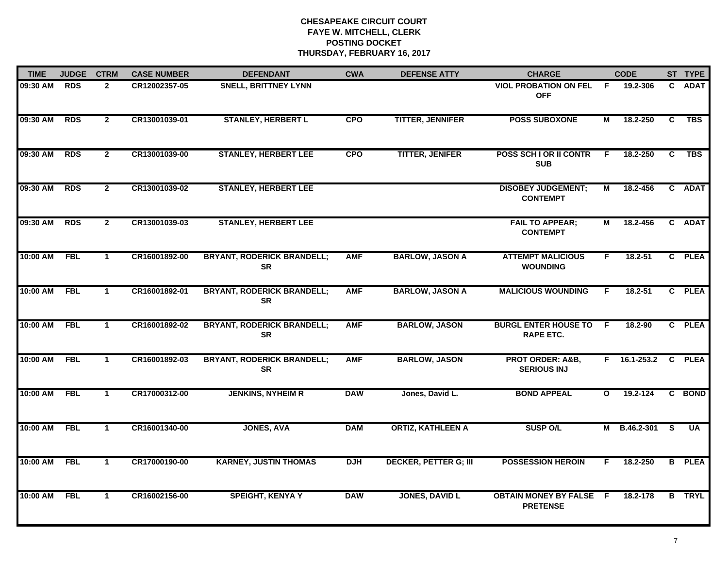| <b>TIME</b> | <b>JUDGE</b> | <b>CTRM</b>    | <b>CASE NUMBER</b> | <b>DEFENDANT</b>                               | <b>CWA</b> | <b>DEFENSE ATTY</b>          | <b>CHARGE</b>                                     |              | <b>CODE</b>    |   | ST TYPE       |
|-------------|--------------|----------------|--------------------|------------------------------------------------|------------|------------------------------|---------------------------------------------------|--------------|----------------|---|---------------|
| 09:30 AM    | <b>RDS</b>   | $\mathbf{2}$   | CR12002357-05      | <b>SNELL, BRITTNEY LYNN</b>                    |            |                              | <b>VIOL PROBATION ON FEL</b><br><b>OFF</b>        | - F          | 19.2-306       |   | C ADAT        |
| 09:30 AM    | <b>RDS</b>   | $\overline{2}$ | CR13001039-01      | <b>STANLEY, HERBERT L</b>                      | <b>CPO</b> | <b>TITTER, JENNIFER</b>      | <b>POSS SUBOXONE</b>                              | М            | 18.2-250       | C | <b>TBS</b>    |
| 09:30 AM    | <b>RDS</b>   | $\overline{2}$ | CR13001039-00      | <b>STANLEY, HERBERT LEE</b>                    | <b>CPO</b> | <b>TITTER, JENIFER</b>       | <b>POSS SCH I OR II CONTR</b><br><b>SUB</b>       | F            | 18.2-250       | C | <b>TBS</b>    |
| 09:30 AM    | <b>RDS</b>   | $\mathbf{2}$   | CR13001039-02      | <b>STANLEY, HERBERT LEE</b>                    |            |                              | <b>DISOBEY JUDGEMENT;</b><br><b>CONTEMPT</b>      | М            | 18.2-456       |   | C ADAT        |
| 09:30 AM    | <b>RDS</b>   | $\overline{2}$ | CR13001039-03      | <b>STANLEY, HERBERT LEE</b>                    |            |                              | <b>FAIL TO APPEAR;</b><br><b>CONTEMPT</b>         | М            | 18.2-456       |   | C ADAT        |
| 10:00 AM    | <b>FBL</b>   | $\mathbf 1$    | CR16001892-00      | <b>BRYANT, RODERICK BRANDELL;</b><br><b>SR</b> | <b>AMF</b> | <b>BARLOW, JASON A</b>       | <b>ATTEMPT MALICIOUS</b><br><b>WOUNDING</b>       | F.           | $18.2 - 51$    |   | C PLEA        |
| 10:00 AM    | FBL          | $\mathbf{1}$   | CR16001892-01      | <b>BRYANT, RODERICK BRANDELL;</b><br><b>SR</b> | <b>AMF</b> | <b>BARLOW, JASON A</b>       | <b>MALICIOUS WOUNDING</b>                         | F.           | $18.2 - 51$    |   | C PLEA        |
| 10:00 AM    | <b>FBL</b>   | $\mathbf{1}$   | CR16001892-02      | <b>BRYANT, RODERICK BRANDELL;</b><br><b>SR</b> | <b>AMF</b> | <b>BARLOW, JASON</b>         | <b>BURGL ENTER HOUSE TO</b><br><b>RAPE ETC.</b>   | -F           | 18.2-90        |   | C PLEA        |
| 10:00 AM    | <b>FBL</b>   | $\mathbf 1$    | CR16001892-03      | <b>BRYANT, RODERICK BRANDELL;</b><br><b>SR</b> | <b>AMF</b> | <b>BARLOW, JASON</b>         | <b>PROT ORDER: A&amp;B,</b><br><b>SERIOUS INJ</b> | F.           | $16.1 - 253.2$ |   | C PLEA        |
| 10:00 AM    | <b>FBL</b>   | $\mathbf{1}$   | CR17000312-00      | <b>JENKINS, NYHEIM R</b>                       | <b>DAW</b> | Jones, David L.              | <b>BOND APPEAL</b>                                | $\mathbf{o}$ | 19.2-124       |   | C BOND        |
| 10:00 AM    | <b>FBL</b>   | $\mathbf{1}$   | CR16001340-00      | <b>JONES, AVA</b>                              | <b>DAM</b> | <b>ORTIZ, KATHLEEN A</b>     | <b>SUSP O/L</b>                                   | M            | B.46.2-301 S   |   | <b>UA</b>     |
| 10:00 AM    | <b>FBL</b>   | $\mathbf{1}$   | CR17000190-00      | <b>KARNEY, JUSTIN THOMAS</b>                   | <b>DJH</b> | <b>DECKER, PETTER G; III</b> | <b>POSSESSION HEROIN</b>                          | F.           | 18.2-250       |   | <b>B</b> PLEA |
| 10:00 AM    | FBL          | $\mathbf{1}$   | CR16002156-00      | <b>SPEIGHT, KENYA Y</b>                        | <b>DAW</b> | <b>JONES, DAVID L</b>        | <b>OBTAIN MONEY BY FALSE F</b><br><b>PRETENSE</b> |              | 18.2-178       |   | <b>B</b> TRYL |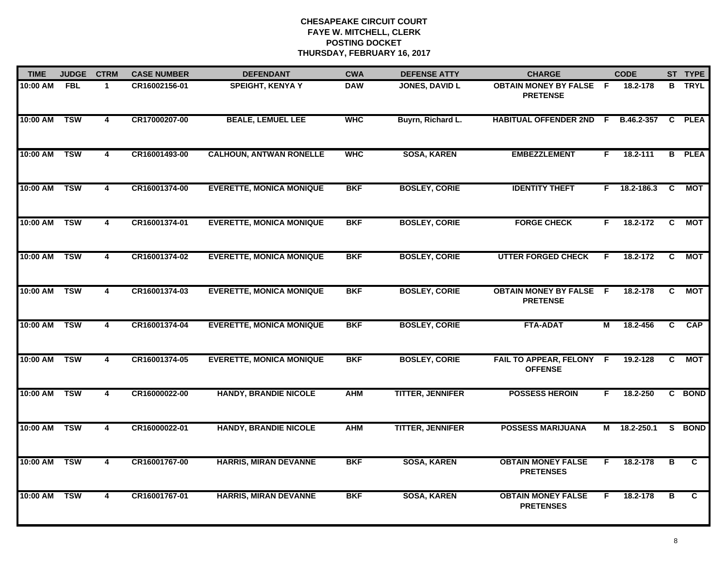| <b>TIME</b> | <b>JUDGE</b> | <b>CTRM</b>             | <b>CASE NUMBER</b> | <b>DEFENDANT</b>                | <b>CWA</b> | <b>DEFENSE ATTY</b>     | <b>CHARGE</b>                                     |    | <b>CODE</b>    |                | ST TYPE        |
|-------------|--------------|-------------------------|--------------------|---------------------------------|------------|-------------------------|---------------------------------------------------|----|----------------|----------------|----------------|
| 10:00 AM    | FBL          | $\mathbf{1}$            | CR16002156-01      | <b>SPEIGHT, KENYA Y</b>         | <b>DAW</b> | <b>JONES, DAVID L</b>   | <b>OBTAIN MONEY BY FALSE F</b><br><b>PRETENSE</b> |    | 18.2-178       |                | <b>B</b> TRYL  |
| 10:00 AM    | <b>TSW</b>   | $\overline{4}$          | CR17000207-00      | <b>BEALE, LEMUEL LEE</b>        | <b>WHC</b> | Buyrn, Richard L.       | <b>HABITUAL OFFENDER 2ND F</b>                    |    | B.46.2-357     | C              | <b>PLEA</b>    |
| 10:00 AM    | <b>TSW</b>   | $\overline{\mathbf{4}}$ | CR16001493-00      | <b>CALHOUN, ANTWAN RONELLE</b>  | <b>WHC</b> | <b>SOSA, KAREN</b>      | <b>EMBEZZLEMENT</b>                               | F. | 18.2-111       |                | <b>B</b> PLEA  |
| 10:00 AM    | <b>TSW</b>   | 4                       | CR16001374-00      | <b>EVERETTE, MONICA MONIQUE</b> | <b>BKF</b> | <b>BOSLEY, CORIE</b>    | <b>IDENTITY THEFT</b>                             |    | $F$ 18.2-186.3 | C.             | <b>MOT</b>     |
| 10:00 AM    | <b>TSW</b>   | 4                       | CR16001374-01      | <b>EVERETTE, MONICA MONIQUE</b> | <b>BKF</b> | <b>BOSLEY, CORIE</b>    | <b>FORGE CHECK</b>                                | F. | 18.2-172       | C              | MOT            |
| 10:00 AM    | <b>TSW</b>   | $\overline{\mathbf{4}}$ | CR16001374-02      | <b>EVERETTE, MONICA MONIQUE</b> | <b>BKF</b> | <b>BOSLEY, CORIE</b>    | <b>UTTER FORGED CHECK</b>                         | F  | 18.2-172       | C              | МОТ            |
| 10:00 AM    | <b>TSW</b>   | $\overline{4}$          | CR16001374-03      | <b>EVERETTE, MONICA MONIQUE</b> | <b>BKF</b> | <b>BOSLEY, CORIE</b>    | <b>OBTAIN MONEY BY FALSE F</b><br><b>PRETENSE</b> |    | 18.2-178       | C.             | <b>MOT</b>     |
| 10:00 AM    | <b>TSW</b>   | 4                       | CR16001374-04      | <b>EVERETTE, MONICA MONIQUE</b> | <b>BKF</b> | <b>BOSLEY, CORIE</b>    | <b>FTA-ADAT</b>                                   | М  | 18.2-456       | $\overline{c}$ | <b>CAP</b>     |
| 10:00 AM    | <b>TSW</b>   | 4                       | CR16001374-05      | <b>EVERETTE, MONICA MONIQUE</b> | <b>BKF</b> | <b>BOSLEY, CORIE</b>    | FAIL TO APPEAR, FELONY F<br><b>OFFENSE</b>        |    | 19.2-128       | C.             | МОТ            |
| 10:00 AM    | <b>TSW</b>   | 4                       | CR16000022-00      | <b>HANDY, BRANDIE NICOLE</b>    | <b>AHM</b> | <b>TITTER, JENNIFER</b> | <b>POSSESS HEROIN</b>                             | F. | 18.2-250       |                | C BOND         |
| 10:00 AM    | <b>TSW</b>   | 4                       | CR16000022-01      | <b>HANDY, BRANDIE NICOLE</b>    | <b>AHM</b> | <b>TITTER, JENNIFER</b> | <b>POSSESS MARIJUANA</b>                          |    | M 18.2-250.1   |                | S BOND         |
| 10:00 AM    | <b>TSW</b>   | $\overline{\mathbf{4}}$ | CR16001767-00      | <b>HARRIS, MIRAN DEVANNE</b>    | <b>BKF</b> | <b>SOSA, KAREN</b>      | <b>OBTAIN MONEY FALSE</b><br><b>PRETENSES</b>     | F  | 18.2-178       | B              | C.             |
| 10:00 AM    | <b>TSW</b>   | $\overline{\mathbf{4}}$ | CR16001767-01      | <b>HARRIS, MIRAN DEVANNE</b>    | <b>BKF</b> | <b>SOSA, KAREN</b>      | <b>OBTAIN MONEY FALSE</b><br><b>PRETENSES</b>     | F. | 18.2-178       | B              | $\overline{c}$ |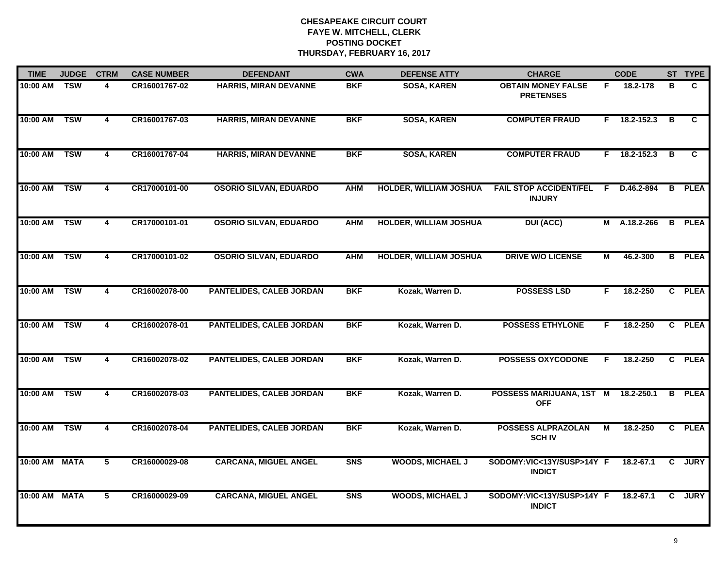| <b>TIME</b>   | <b>JUDGE</b> | <b>CTRM</b>             | <b>CASE NUMBER</b> | <b>DEFENDANT</b>                | <b>CWA</b> | <b>DEFENSE ATTY</b>           | <b>CHARGE</b>                                  |                | <b>CODE</b> |                | ST TYPE       |
|---------------|--------------|-------------------------|--------------------|---------------------------------|------------|-------------------------------|------------------------------------------------|----------------|-------------|----------------|---------------|
| 10:00 AM      | <b>TSW</b>   | 4                       | CR16001767-02      | HARRIS, MIRAN DEVANNE           | <b>BKF</b> | <b>SOSA, KAREN</b>            | <b>OBTAIN MONEY FALSE</b><br><b>PRETENSES</b>  | F.             | 18.2-178    | в              | C             |
| 10:00 AM      | <b>TSW</b>   | $\overline{4}$          | CR16001767-03      | <b>HARRIS, MIRAN DEVANNE</b>    | <b>BKF</b> | <b>SOSA, KAREN</b>            | <b>COMPUTER FRAUD</b>                          | F.             | 18.2-152.3  | B              | C.            |
| 10:00 AM      | <b>TSW</b>   | 4                       | CR16001767-04      | <b>HARRIS, MIRAN DEVANNE</b>    | <b>BKF</b> | <b>SOSA, KAREN</b>            | <b>COMPUTER FRAUD</b>                          | F.             | 18.2-152.3  | B              | C.            |
| 10:00 AM      | <b>TSW</b>   | 4                       | CR17000101-00      | <b>OSORIO SILVAN, EDUARDO</b>   | <b>AHM</b> | <b>HOLDER, WILLIAM JOSHUA</b> | <b>FAIL STOP ACCIDENT/FEL</b><br><b>INJURY</b> | -F             | D.46.2-894  | B              | <b>PLEA</b>   |
| 10:00 AM      | <b>TSW</b>   | 4                       | CR17000101-01      | <b>OSORIO SILVAN, EDUARDO</b>   | <b>AHM</b> | <b>HOLDER, WILLIAM JOSHUA</b> | <b>DUI (ACC)</b>                               | М              | A.18.2-266  |                | <b>B</b> PLEA |
| 10:00 AM      | <b>TSW</b>   | 4                       | CR17000101-02      | <b>OSORIO SILVAN, EDUARDO</b>   | <b>AHM</b> | <b>HOLDER, WILLIAM JOSHUA</b> | <b>DRIVE W/O LICENSE</b>                       | $\overline{M}$ | 46.2-300    |                | <b>B</b> PLEA |
| 10:00 AM      | <b>TSW</b>   | $\overline{4}$          | CR16002078-00      | PANTELIDES, CALEB JORDAN        | <b>BKF</b> | Kozak, Warren D.              | <b>POSSESS LSD</b>                             | F.             | 18.2-250    |                | C PLEA        |
| 10:00 AM      | <b>TSW</b>   | $\overline{\mathbf{4}}$ | CR16002078-01      | <b>PANTELIDES, CALEB JORDAN</b> | <b>BKF</b> | Kozak, Warren D.              | <b>POSSESS ETHYLONE</b>                        | F.             | 18.2-250    |                | C PLEA        |
| 10:00 AM      | <b>TSW</b>   | 4                       | CR16002078-02      | <b>PANTELIDES, CALEB JORDAN</b> | <b>BKF</b> | Kozak, Warren D.              | <b>POSSESS OXYCODONE</b>                       | E              | 18.2-250    |                | C PLEA        |
| 10:00 AM      | <b>TSW</b>   | $\overline{\mathbf{4}}$ | CR16002078-03      | <b>PANTELIDES, CALEB JORDAN</b> | <b>BKF</b> | Kozak, Warren D.              | POSSESS MARIJUANA, 1ST M<br><b>OFF</b>         |                | 18.2-250.1  |                | <b>B</b> PLEA |
| 10:00 AM      | <b>TSW</b>   | $\overline{\mathbf{4}}$ | CR16002078-04      | PANTELIDES, CALEB JORDAN        | <b>BKF</b> | Kozak, Warren D.              | <b>POSSESS ALPRAZOLAN</b><br><b>SCH IV</b>     | М              | 18.2-250    |                | C PLEA        |
| 10:00 AM MATA |              | $\overline{5}$          | CR16000029-08      | <b>CARCANA, MIGUEL ANGEL</b>    | <b>SNS</b> | <b>WOODS, MICHAEL J</b>       | SODOMY:VIC<13Y/SUSP>14Y F<br><b>INDICT</b>     |                | 18.2-67.1   | $\overline{c}$ | <b>JURY</b>   |
| 10:00 AM      | <b>MATA</b>  | 5                       | CR16000029-09      | <b>CARCANA, MIGUEL ANGEL</b>    | <b>SNS</b> | <b>WOODS, MICHAEL J</b>       | SODOMY:VIC<13Y/SUSP>14Y F<br><b>INDICT</b>     |                | 18.2-67.1   | C.             | <b>JURY</b>   |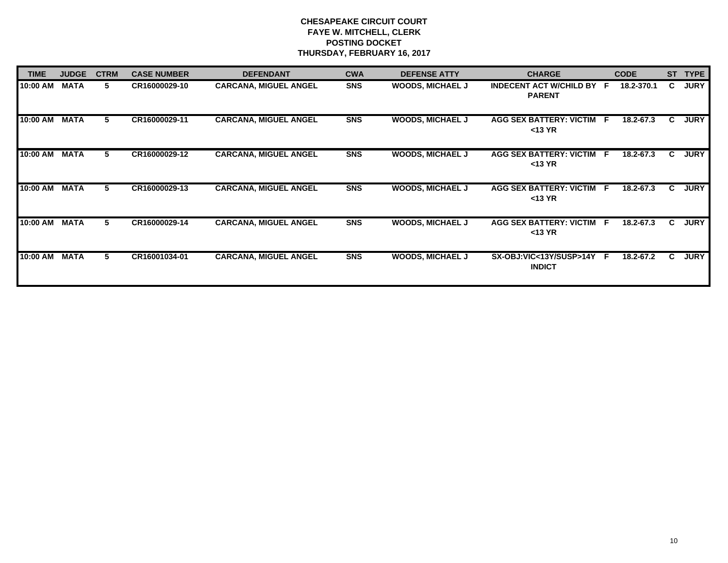| <b>TIME</b> | <b>JUDGE</b> | <b>CTRM</b> | <b>CASE NUMBER</b> | <b>DEFENDANT</b>             | <b>CWA</b> | <b>DEFENSE ATTY</b>     | <b>CHARGE</b>                              | <b>CODE</b> | ST | <b>TYPE</b> |
|-------------|--------------|-------------|--------------------|------------------------------|------------|-------------------------|--------------------------------------------|-------------|----|-------------|
| 10:00 AM    | <b>MATA</b>  | 5.          | CR16000029-10      | <b>CARCANA, MIGUEL ANGEL</b> | <b>SNS</b> | <b>WOODS, MICHAEL J</b> | INDECENT ACT W/CHILD BY F<br><b>PARENT</b> | 18.2-370.1  | C. | <b>JURY</b> |
| 10:00 AM    | <b>MATA</b>  | 5.          | CR16000029-11      | <b>CARCANA, MIGUEL ANGEL</b> | <b>SNS</b> | <b>WOODS, MICHAEL J</b> | AGG SEX BATTERY: VICTIM F<br>$<$ 13 YR     | 18.2-67.3   | C. | <b>JURY</b> |
| 10:00 AM    | <b>MATA</b>  | 5.          | CR16000029-12      | <b>CARCANA, MIGUEL ANGEL</b> | <b>SNS</b> | <b>WOODS, MICHAEL J</b> | AGG SEX BATTERY: VICTIM F<br>$<$ 13 YR     | 18.2-67.3   | C. | <b>JURY</b> |
| 10:00 AM    | <b>MATA</b>  | 5           | CR16000029-13      | <b>CARCANA, MIGUEL ANGEL</b> | <b>SNS</b> | <b>WOODS, MICHAEL J</b> | AGG SEX BATTERY: VICTIM F<br>$<$ 13 YR     | 18.2-67.3   | C. | <b>JURY</b> |
| 10:00 AM    | <b>MATA</b>  | 5           | CR16000029-14      | <b>CARCANA, MIGUEL ANGEL</b> | <b>SNS</b> | <b>WOODS, MICHAEL J</b> | AGG SEX BATTERY: VICTIM F<br>$<$ 13 YR     | 18.2-67.3   | C. | <b>JURY</b> |
| 10:00 AM    | <b>MATA</b>  | 5.          | CR16001034-01      | <b>CARCANA, MIGUEL ANGEL</b> | <b>SNS</b> | <b>WOODS, MICHAEL J</b> | SX-OBJ:VIC<13Y/SUSP>14Y F<br><b>INDICT</b> | 18.2-67.2   | C. | <b>JURY</b> |